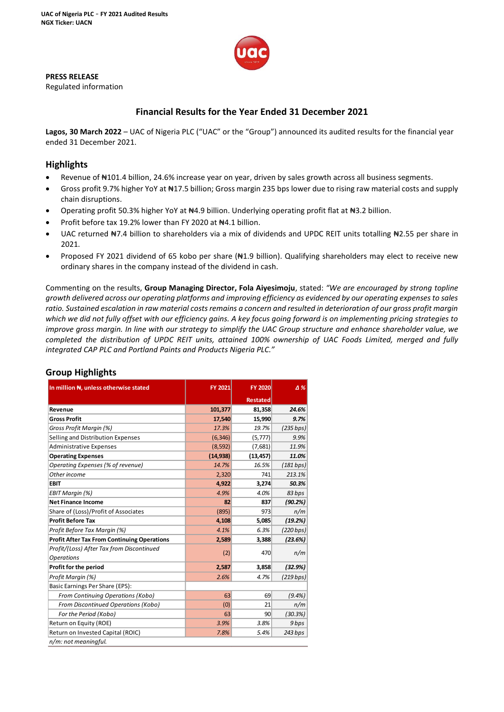

**PRESS RELEASE**

Regulated information

# **Financial Results for the Year Ended 31 December 2021**

**Lagos, 30 March 2022** – UAC of Nigeria PLC ("UAC" or the "Group") announced its audited results for the financial year ended 31 December 2021.

## **Highlights**

- Revenue of ₦101.4 billion, 24.6% increase year on year, driven by sales growth across all business segments.
- Gross profit 9.7% higher YoY at #17.5 billion; Gross margin 235 bps lower due to rising raw material costs and supply chain disruptions.
- Operating profit 50.3% higher YoY at #4.9 billion. Underlying operating profit flat at #3.2 billion.
- Profit before tax 19.2% lower than FY 2020 at N4.1 billion.
- UAC returned N7.4 billion to shareholders via a mix of dividends and UPDC REIT units totalling N2.55 per share in 2021.
- Proposed FY 2021 dividend of 65 kobo per share (#1.9 billion). Qualifying shareholders may elect to receive new ordinary shares in the company instead of the dividend in cash.

Commenting on the results, **Group Managing Director, Fola Aiyesimoju**, stated: *"We are encouraged by strong topline growth delivered across our operating platforms and improving efficiency as evidenced by our operating expenses to sales ratio. Sustained escalation in raw material costs remains a concern and resulted in deterioration of our gross profit margin which we did not fully offset with our efficiency gains. A key focus going forward is on implementing pricing strategies to improve gross margin. In line with our strategy to simplify the UAC Group structure and enhance shareholder value, we completed the distribution of UPDC REIT units, attained 100% ownership of UAC Foods Limited, merged and fully integrated CAP PLC and Portland Paints and Products Nigeria PLC."*

| In million N, unless otherwise stated              | FY 2021   | <b>FY 2020</b>  | Δ%        |
|----------------------------------------------------|-----------|-----------------|-----------|
|                                                    |           | <b>Restated</b> |           |
| Revenue                                            | 101,377   | 81,358          | 24.6%     |
| <b>Gross Profit</b>                                | 17,540    | 15,990          | 9.7%      |
| Gross Profit Margin (%)                            | 17.3%     | 19.7%           | (235 bps) |
| Selling and Distribution Expenses                  | (6, 346)  | (5, 777)        | 9.9%      |
| <b>Administrative Expenses</b>                     | (8, 592)  | (7,681)         | 11.9%     |
| <b>Operating Expenses</b>                          | (14, 938) | (13, 457)       | 11.0%     |
| Operating Expenses (% of revenue)                  | 14.7%     | 16.5%           | (181 bps) |
| Other income                                       | 2,320     | 741             | 213.1%    |
| <b>EBIT</b>                                        | 4,922     | 3,274           | 50.3%     |
| EBIT Margin (%)                                    | 4.9%      | 4.0%            | 83 bps    |
| <b>Net Finance Income</b>                          | 82        | 837             | (90.2%)   |
| Share of (Loss)/Profit of Associates               | (895)     | 973             | n/m       |
| <b>Profit Before Tax</b>                           | 4,108     | 5,085           | (19.2%)   |
| Profit Before Tax Margin (%)                       | 4.1%      | 6.3%            | (220 bps) |
| <b>Profit After Tax From Continuing Operations</b> | 2,589     | 3,388           | (23.6%)   |
| Profit/(Loss) After Tax from Discontinued          | (2)       | 470             | n/m       |
| <b>Operations</b>                                  |           |                 |           |
| Profit for the period                              | 2,587     | 3,858           | (32.9%)   |
| Profit Margin (%)                                  | 2.6%      | 4.7%            | (219 bps) |
| Basic Earnings Per Share (EPS):                    |           |                 |           |
| From Continuing Operations (Kobo)                  | 63        | 69              | $(9.4\%)$ |
| <b>From Discontinued Operations (Kobo)</b>         | (0)       | 21              | n/m       |
| For the Period (Kobo)                              | 63        | 90              | (30.3%)   |
| Return on Equity (ROE)                             | 3.9%      | 3.8%            | 9 bps     |
| Return on Invested Capital (ROIC)                  | 7.8%      | 5.4%            | 243 bps   |
| n/m: not meaningful.                               |           |                 |           |

# **Group Highlights**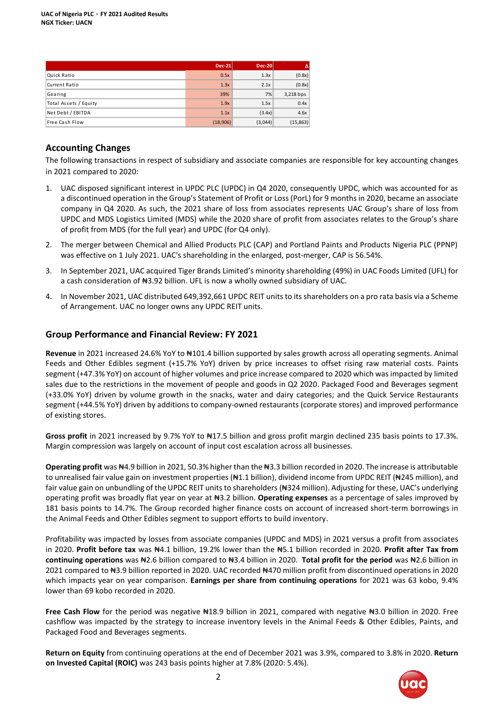|                       | <b>Dec-21</b> | <b>Dec-20</b> |           |
|-----------------------|---------------|---------------|-----------|
| Quick Ratio           | 0.5x          | 1.3x          | (0.8x)    |
| Current Ratio         | 1.3x          | 2.1x          | (0.8x)    |
| Gearing               | 39%           | 7%            | 3,218 bps |
| Total Assets / Equity | 1.9x          | 1.5x          | 0.4x      |
| Net Debt / EBITDA     | 1.1x          | (3.4x)        | 4.6x      |
| Free Cash Flow        | (18,906)      | (3,044)       | (15, 863) |

## **Accounting Changes**

The following transactions in respect of subsidiary and associate companies are responsible for key accounting changes in 2021 compared to 2020:

- 1. UAC disposed significant interest in UPDC PLC (UPDC) in Q4 2020, consequently UPDC, which was accounted for as a discontinued operation in the Group's Statement of Profit or Loss (PorL) for 9 months in 2020, became an associate company in Q4 2020. As such, the 2021 share of loss from associates represents UAC Group's share of loss from UPDC and MDS Logistics Limited (MDS) while the 2020 share of profit from associates relates to the Group's share of profit from MDS (for the full year) and UPDC (for Q4 only).
- 2. The merger between Chemical and Allied Products PLC (CAP) and Portland Paints and Products Nigeria PLC (PPNP) was effective on 1 July 2021. UAC's shareholding in the enlarged, post-merger, CAP is 56.54%.
- 3. In September 2021, UAC acquired Tiger Brands Limited's minority shareholding (49%) in UAC Foods Limited (UFL) for a cash consideration of N3.92 billion. UFL is now a wholly owned subsidiary of UAC.
- 4. In November 2021, UAC distributed 649,392,661 UPDC REIT units to its shareholders on a pro rata basis via a Scheme of Arrangement. UAC no longer owns any UPDC REIT units.

## **Group Performance and Financial Review: FY 2021**

**Revenue** in 2021 increased 24.6% YoY to ₦101.4 billion supported by sales growth across all operating segments. Animal Feeds and Other Edibles segment (+15.7% YoY) driven by price increases to offset rising raw material costs. Paints segment (+47.3% YoY) on account of higher volumes and price increase compared to 2020 which was impacted by limited sales due to the restrictions in the movement of people and goods in Q2 2020. Packaged Food and Beverages segment (+33.0% YoY) driven by volume growth in the snacks, water and dairy categories; and the Quick Service Restaurants segment (+44.5% YoY) driven by additions to company-owned restaurants (corporate stores) and improved performance of existing stores.

**Gross profit** in 2021 increased by 9.7% YoY to ₦17.5 billion and gross profit margin declined 235 basis points to 17.3%. Margin compression was largely on account of input cost escalation across all businesses.

**Operating profit** was ₦4.9 billion in 2021, 50.3% higher than the ₦3.3 billion recorded in 2020. The increase is attributable to unrealised fair value gain on investment properties (#1.1 billion), dividend income from UPDC REIT (#245 million), and fair value gain on unbundling of the UPDC REIT units to shareholders (N324 million). Adjusting for these, UAC's underlying operating profit was broadly flat year on year at ₦3.2 billion. **Operating expenses** as a percentage of sales improved by 181 basis points to 14.7%. The Group recorded higher finance costs on account of increased short-term borrowings in the Animal Feeds and Other Edibles segment to support efforts to build inventory.

Profitability was impacted by losses from associate companies (UPDC and MDS) in 2021 versus a profit from associates in 2020. **Profit before tax** was ₦4.1 billion, 19.2% lower than the ₦5.1 billion recorded in 2020. **Profit after Tax from continuing operations** was ₦2.6 billion compared to ₦3.4 billion in 2020. **Total profit for the period** was ₦2.6 billion in 2021 compared to ₦3.9 billion reported in 2020. UAC recorded ₦470 million profit from discontinued operations in 2020 which impacts year on year comparison. **Earnings per share from continuing operations** for 2021 was 63 kobo, 9.4% lower than 69 kobo recorded in 2020.

**Free Cash Flow** for the period was negative ₦18.9 billion in 2021, compared with negative ₦3.0 billion in 2020. Free cashflow was impacted by the strategy to increase inventory levels in the Animal Feeds & Other Edibles, Paints, and Packaged Food and Beverages segments.

**Return on Equity** from continuing operations at the end of December 2021 was 3.9%, compared to 3.8% in 2020. **Return on Invested Capital (ROIC)** was 243 basis points higher at 7.8% (2020: 5.4%).

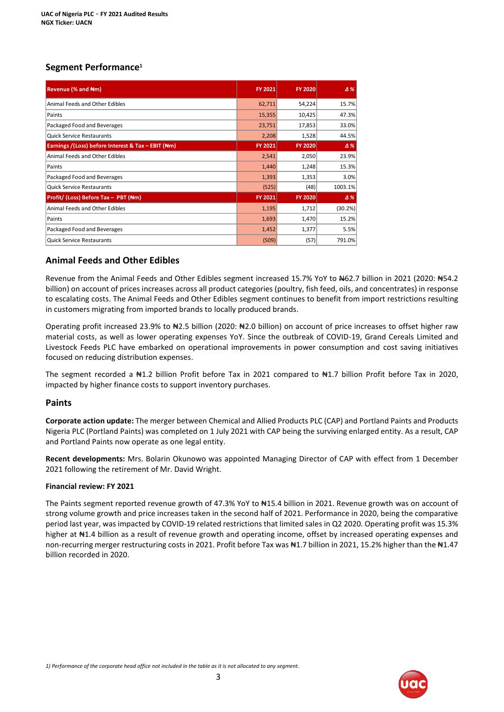# **Segment Performance<sup>1</sup>**

| <b>Revenue (% and Nm)</b>                          | <b>FY 2021</b> | <b>FY 2020</b> | $\Delta\%$ |
|----------------------------------------------------|----------------|----------------|------------|
| Animal Feeds and Other Edibles                     | 62,711         | 54,224         | 15.7%      |
| Paints                                             | 15,355         | 10,425         | 47.3%      |
| Packaged Food and Beverages                        | 23,751         | 17,853         | 33.0%      |
| <b>Quick Service Restaurants</b>                   | 2,208          | 1,528          | 44.5%      |
| Earnings /(Loss) before Interest & Tax - EBIT (Nm) | FY 2021        | <b>FY 2020</b> | $\Delta$ % |
| Animal Feeds and Other Edibles                     | 2,541          | 2,050          | 23.9%      |
| Paints                                             | 1,440          | 1,248          | 15.3%      |
| Packaged Food and Beverages                        | 1,393          | 1,353          | 3.0%       |
| <b>Quick Service Restaurants</b>                   | (525)          | (48)           | 1003.1%    |
| Profit/ (Loss) Before Tax - PBT (Nm)               | <b>FY 2021</b> | <b>FY 2020</b> | $\Delta$ % |
| Animal Feeds and Other Edibles                     | 1,195          | 1,712          | (30.2%)    |
| Paints                                             | 1,693          | 1,470          | 15.2%      |
| Packaged Food and Beverages                        | 1,452          | 1,377          | 5.5%       |
| <b>Quick Service Restaurants</b>                   | (509)          | (57)           | 791.0%     |

# **Animal Feeds and Other Edibles**

Revenue from the Animal Feeds and Other Edibles segment increased 15.7% YoY to #62.7 billion in 2021 (2020: #54.2 billion) on account of prices increases across all product categories (poultry, fish feed, oils, and concentrates) in response to escalating costs. The Animal Feeds and Other Edibles segment continues to benefit from import restrictions resulting in customers migrating from imported brands to locally produced brands.

Operating profit increased 23.9% to ₦2.5 billion (2020: ₦2.0 billion) on account of price increases to offset higher raw material costs, as well as lower operating expenses YoY. Since the outbreak of COVID-19, Grand Cereals Limited and Livestock Feeds PLC have embarked on operational improvements in power consumption and cost saving initiatives focused on reducing distribution expenses.

The segment recorded a N1.2 billion Profit before Tax in 2021 compared to N1.7 billion Profit before Tax in 2020, impacted by higher finance costs to support inventory purchases.

## **Paints**

**Corporate action update:** The merger between Chemical and Allied Products PLC (CAP) and Portland Paints and Products Nigeria PLC (Portland Paints) was completed on 1 July 2021 with CAP being the surviving enlarged entity. As a result, CAP and Portland Paints now operate as one legal entity.

**Recent developments:** Mrs. Bolarin Okunowo was appointed Managing Director of CAP with effect from 1 December 2021 following the retirement of Mr. David Wright.

## **Financial review: FY 2021**

The Paints segment reported revenue growth of 47.3% YoY to #15.4 billion in 2021. Revenue growth was on account of strong volume growth and price increases taken in the second half of 2021. Performance in 2020, being the comparative period last year, was impacted by COVID-19 related restrictions that limited sales in Q2 2020. Operating profit was 15.3% higher at  $\text{H1.4}$  billion as a result of revenue growth and operating income, offset by increased operating expenses and non-recurring merger restructuring costs in 2021. Profit before Tax was N1.7 billion in 2021, 15.2% higher than the N1.47 billion recorded in 2020.

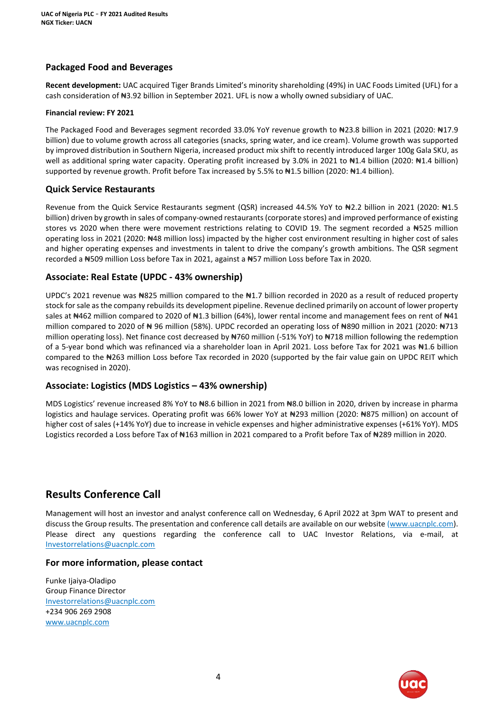# **Packaged Food and Beverages**

**Recent development:** UAC acquired Tiger Brands Limited's minority shareholding (49%) in UAC Foods Limited (UFL) for a cash consideration of N3.92 billion in September 2021. UFL is now a wholly owned subsidiary of UAC.

### **Financial review: FY 2021**

The Packaged Food and Beverages segment recorded 33.0% YoY revenue growth to ₦23.8 billion in 2021 (2020: ₦17.9 billion) due to volume growth across all categories (snacks, spring water, and ice cream). Volume growth was supported by improved distribution in Southern Nigeria, increased product mix shift to recently introduced larger 100g Gala SKU, as well as additional spring water capacity. Operating profit increased by 3.0% in 2021 to #1.4 billion (2020: #1.4 billion) supported by revenue growth. Profit before Tax increased by 5.5% to #1.5 billion (2020: #1.4 billion).

## **Quick Service Restaurants**

Revenue from the Quick Service Restaurants segment (QSR) increased 44.5% YoY to ₦2.2 billion in 2021 (2020: ₦1.5 billion) driven by growth in sales of company-owned restaurants (corporate stores) and improved performance of existing stores vs 2020 when there were movement restrictions relating to COVID 19. The segment recorded a N525 million operating loss in 2021 (2020: ₦48 million loss) impacted by the higher cost environment resulting in higher cost of sales and higher operating expenses and investments in talent to drive the company's growth ambitions. The QSR segment recorded a ₦509 million Loss before Tax in 2021, against a ₦57 million Loss before Tax in 2020.

## **Associate: Real Estate (UPDC - 43% ownership)**

UPDC's 2021 revenue was N825 million compared to the N1.7 billion recorded in 2020 as a result of reduced property stock for sale as the company rebuilds its development pipeline. Revenue declined primarily on account of lower property sales at #462 million compared to 2020 of #1.3 billion (64%), lower rental income and management fees on rent of #41 million compared to 2020 of ₦ 96 million (58%). UPDC recorded an operating loss of ₦890 million in 2021 (2020: ₦713 million operating loss). Net finance cost decreased by N760 million (-51% YoY) to N718 million following the redemption of a 5-year bond which was refinanced via a shareholder loan in April 2021. Loss before Tax for 2021 was ₦1.6 billion compared to the ₦263 million Loss before Tax recorded in 2020 (supported by the fair value gain on UPDC REIT which was recognised in 2020).

# **Associate: Logistics (MDS Logistics – 43% ownership)**

MDS Logistics' revenue increased 8% YoY to ₦8.6 billion in 2021 from ₦8.0 billion in 2020, driven by increase in pharma logistics and haulage services. Operating profit was 66% lower YoY at ₦293 million (2020: ₦875 million) on account of higher cost of sales (+14% YoY) due to increase in vehicle expenses and higher administrative expenses (+61% YoY). MDS Logistics recorded a Loss before Tax of #163 million in 2021 compared to a Profit before Tax of #289 million in 2020.

# **Results Conference Call**

Management will host an investor and analyst conference call on Wednesday, 6 April 2022 at 3pm WAT to present and discuss the Group results. The presentation and conference call details are available on our website [\(www.uacnplc.com\)](http://www.uacnplc.com/). Please direct any questions regarding the conference call to UAC Investor Relations, via e-mail, at [Investorrelations@uacnplc.com](mailto:Investorrelations@uacnplc.com)

## **For more information, please contact**

Funke Ijaiya-Oladipo Group Finance Director [Investorrelations@uacnplc.com](mailto:Investorrelations@uacnplc.com) +234 906 269 2908 [www.uacnplc.com](http://www.uacnplc.com/)